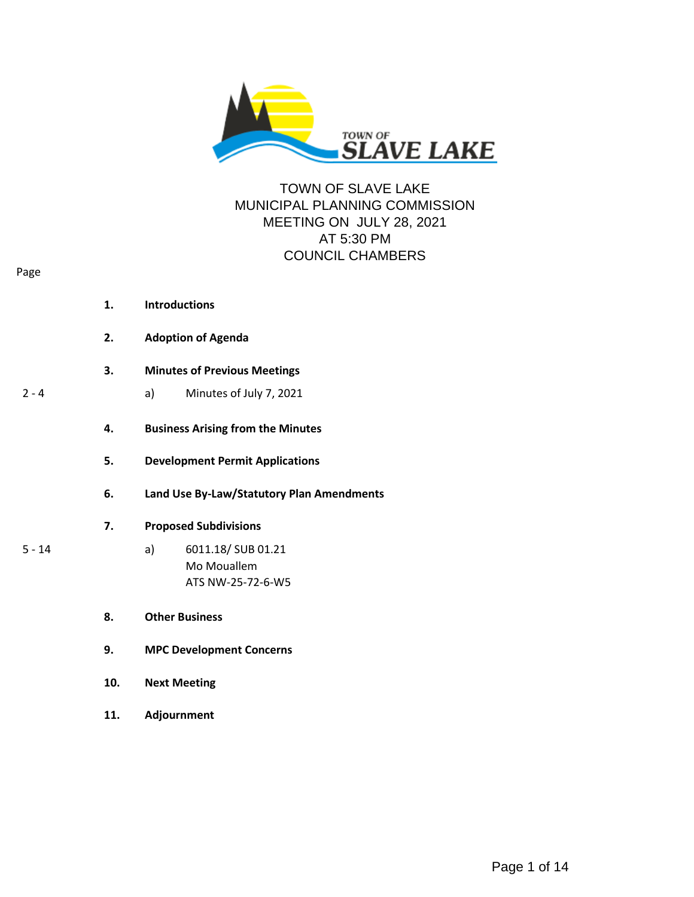

## TOWN OF SLAVE LAKE MUNICIPAL PLANNING COMMISSION MEETING ON JULY 28, 2021 AT 5:30 PM COUNCIL CHAMBERS

|          | 1.  | <b>Introductions</b>                      |  |
|----------|-----|-------------------------------------------|--|
|          | 2.  | <b>Adoption of Agenda</b>                 |  |
|          | 3.  | <b>Minutes of Previous Meetings</b>       |  |
| $2 - 4$  |     | Minutes of July 7, 2021<br>a)             |  |
|          | 4.  | <b>Business Arising from the Minutes</b>  |  |
|          | 5.  | <b>Development Permit Applications</b>    |  |
|          | 6.  | Land Use By-Law/Statutory Plan Amendments |  |
|          | 7.  | <b>Proposed Subdivisions</b>              |  |
| $5 - 14$ |     | 6011.18/ SUB 01.21<br>a)                  |  |
|          |     | Mo Mouallem<br>ATS NW-25-72-6-W5          |  |
|          |     |                                           |  |
|          | 8.  | <b>Other Business</b>                     |  |
|          | 9.  | <b>MPC Development Concerns</b>           |  |
|          | 10. | <b>Next Meeting</b>                       |  |
|          | 11. | Adjournment                               |  |

Page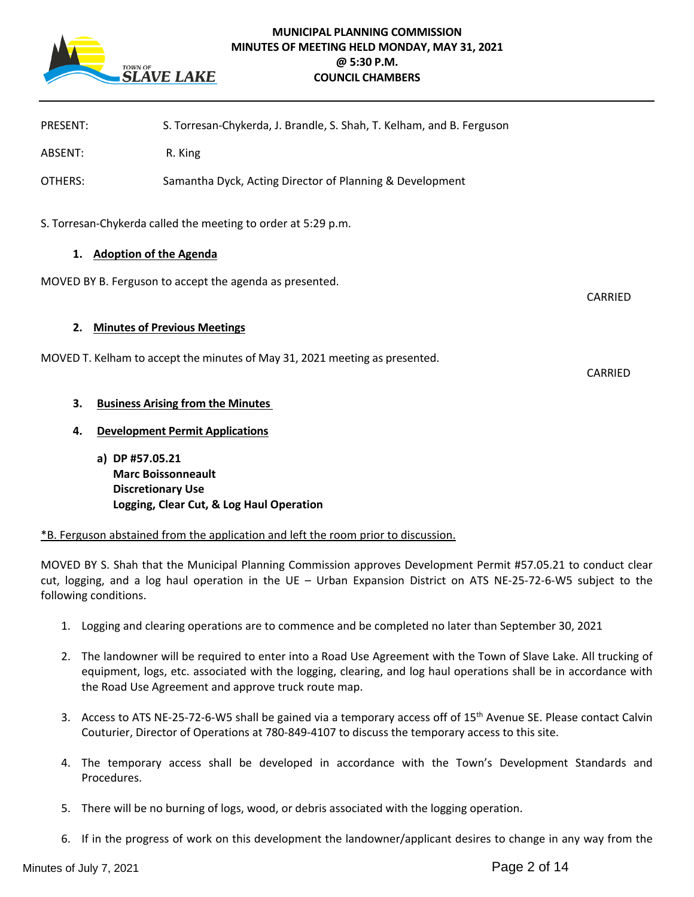

## **MUNICIPAL PLANNING COMMISSION MINUTES OF MEETING HELD MONDAY, MAY 31, 2021 @ 5:30 P.M. COUNCIL CHAMBERS**

| <b>PRESENT:</b>                                               | S. Torresan-Chykerda, J. Brandle, S. Shah, T. Kelham, and B. Ferguson       |                |  |  |
|---------------------------------------------------------------|-----------------------------------------------------------------------------|----------------|--|--|
| ABSENT:                                                       | R. King                                                                     |                |  |  |
| OTHERS:                                                       | Samantha Dyck, Acting Director of Planning & Development                    |                |  |  |
| S. Torresan-Chykerda called the meeting to order at 5:29 p.m. |                                                                             |                |  |  |
| 1. Adoption of the Agenda                                     |                                                                             |                |  |  |
| MOVED BY B. Ferguson to accept the agenda as presented.       |                                                                             |                |  |  |
| <b>Minutes of Previous Meetings</b><br>2.                     |                                                                             |                |  |  |
|                                                               | MOVED T. Kelham to accept the minutes of May 31, 2021 meeting as presented. | <b>CARRIED</b> |  |  |
| 3.                                                            | <b>Business Arising from the Minutes</b>                                    |                |  |  |
| 4.                                                            | <b>Development Permit Applications</b>                                      |                |  |  |

**a) DP #57.05.21 Marc Boissonneault Discretionary Use Logging, Clear Cut, & Log Haul Operation**

\*B. Ferguson abstained from the application and left the room prior to discussion.

MOVED BY S. Shah that the Municipal Planning Commission approves Development Permit #57.05.21 to conduct clear cut, logging, and a log haul operation in the UE – Urban Expansion District on ATS NE-25-72-6-W5 subject to the following conditions.

- 1. Logging and clearing operations are to commence and be completed no later than September 30, 2021
- 2. The landowner will be required to enter into a Road Use Agreement with the Town of Slave Lake. All trucking of equipment, logs, etc. associated with the logging, clearing, and log haul operations shall be in accordance with the Road Use Agreement and approve truck route map.
- 3. Access to ATS NE-25-72-6-W5 shall be gained via a temporary access off of 15th Avenue SE. Please contact Calvin Couturier, Director of Operations at 780-849-4107 to discuss the temporary access to this site.
- 4. The temporary access shall be developed in accordance with the Town's Development Standards and Procedures.
- 5. There will be no burning of logs, wood, or debris associated with the logging operation.
- 6. If in the progress of work on this development the landowner/applicant desires to change in any way from the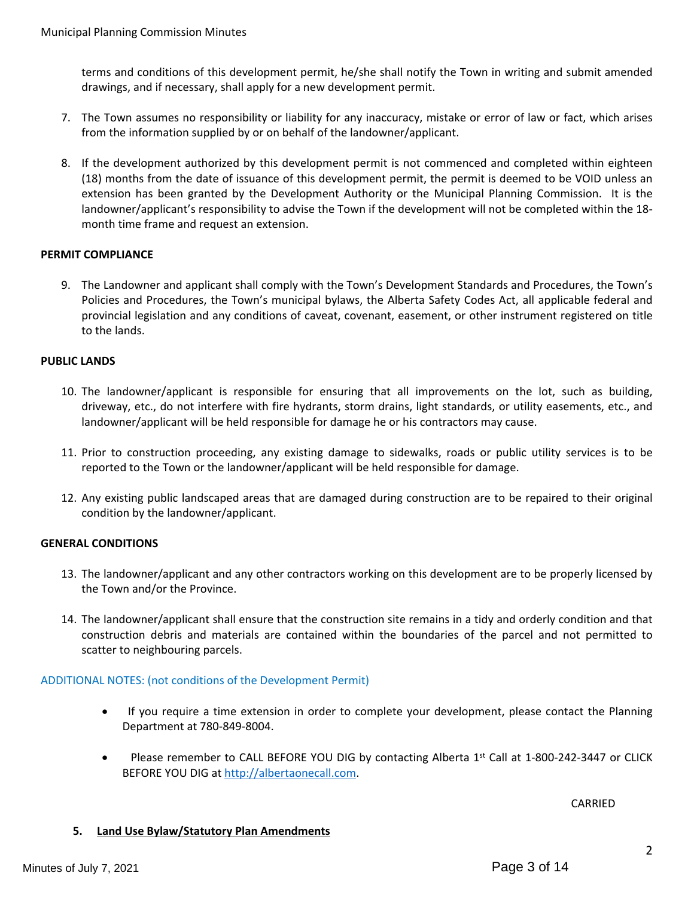terms and conditions of this development permit, he/she shall notify the Town in writing and submit amended drawings, and if necessary, shall apply for a new development permit.

- 7. The Town assumes no responsibility or liability for any inaccuracy, mistake or error of law or fact, which arises from the information supplied by or on behalf of the landowner/applicant.
- 8. If the development authorized by this development permit is not commenced and completed within eighteen (18) months from the date of issuance of this development permit, the permit is deemed to be VOID unless an extension has been granted by the Development Authority or the Municipal Planning Commission. It is the landowner/applicant's responsibility to advise the Town if the development will not be completed within the 18 month time frame and request an extension.

## **PERMIT COMPLIANCE**

9. The Landowner and applicant shall comply with the Town's Development Standards and Procedures, the Town's Policies and Procedures, the Town's municipal bylaws, the Alberta Safety Codes Act, all applicable federal and provincial legislation and any conditions of caveat, covenant, easement, or other instrument registered on title to the lands.

## **PUBLIC LANDS**

- 10. The landowner/applicant is responsible for ensuring that all improvements on the lot, such as building, driveway, etc., do not interfere with fire hydrants, storm drains, light standards, or utility easements, etc., and landowner/applicant will be held responsible for damage he or his contractors may cause.
- 11. Prior to construction proceeding, any existing damage to sidewalks, roads or public utility services is to be reported to the Town or the landowner/applicant will be held responsible for damage.
- 12. Any existing public landscaped areas that are damaged during construction are to be repaired to their original condition by the landowner/applicant.

## **GENERAL CONDITIONS**

- 13. The landowner/applicant and any other contractors working on this development are to be properly licensed by the Town and/or the Province.
- 14. The landowner/applicant shall ensure that the construction site remains in a tidy and orderly condition and that construction debris and materials are contained within the boundaries of the parcel and not permitted to scatter to neighbouring parcels.

## ADDITIONAL NOTES: (not conditions of the Development Permit)

- If you require a time extension in order to complete your development, please contact the Planning Department at 780-849-8004.
- Please remember to CALL BEFORE YOU DIG by contacting Alberta 1st Call at 1-800-242-3447 or CLICK BEFORE YOU DIG at [http://albertaonecall.com](http://albertaonecall.com/).

CARRIED

## **5. Land Use Bylaw/Statutory Plan Amendments**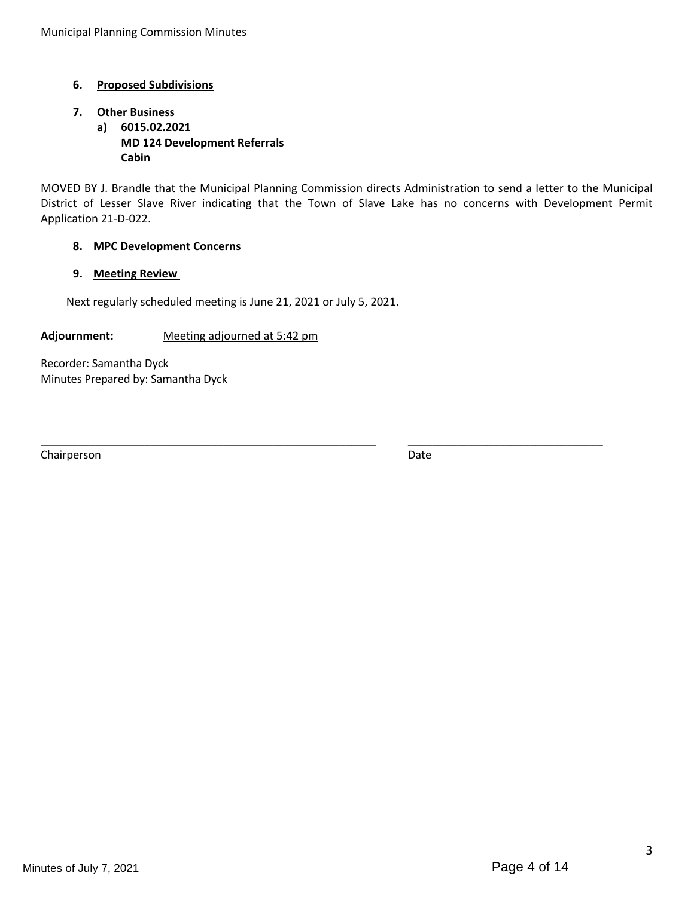## **6. Proposed Subdivisions**

# **7. Other Business**

**a) 6015.02.2021 MD 124 Development Referrals Cabin**

MOVED BY J. Brandle that the Municipal Planning Commission directs Administration to send a letter to the Municipal District of Lesser Slave River indicating that the Town of Slave Lake has no concerns with Development Permit Application 21-D-022.

\_\_\_\_\_\_\_\_\_\_\_\_\_\_\_\_\_\_\_\_\_\_\_\_\_\_\_\_\_\_\_\_\_\_\_\_\_\_\_\_\_\_\_\_\_\_\_\_\_\_\_\_\_\_\_ \_\_\_\_\_\_\_\_\_\_\_\_\_\_\_\_\_\_\_\_\_\_\_\_\_\_\_\_\_\_\_\_

## **8. MPC Development Concerns**

## **9. Meeting Review**

Next regularly scheduled meeting is June 21, 2021 or July 5, 2021.

**Adjournment:** Meeting adjourned at 5:42 pm

Recorder: Samantha Dyck Minutes Prepared by: Samantha Dyck

Chairperson Date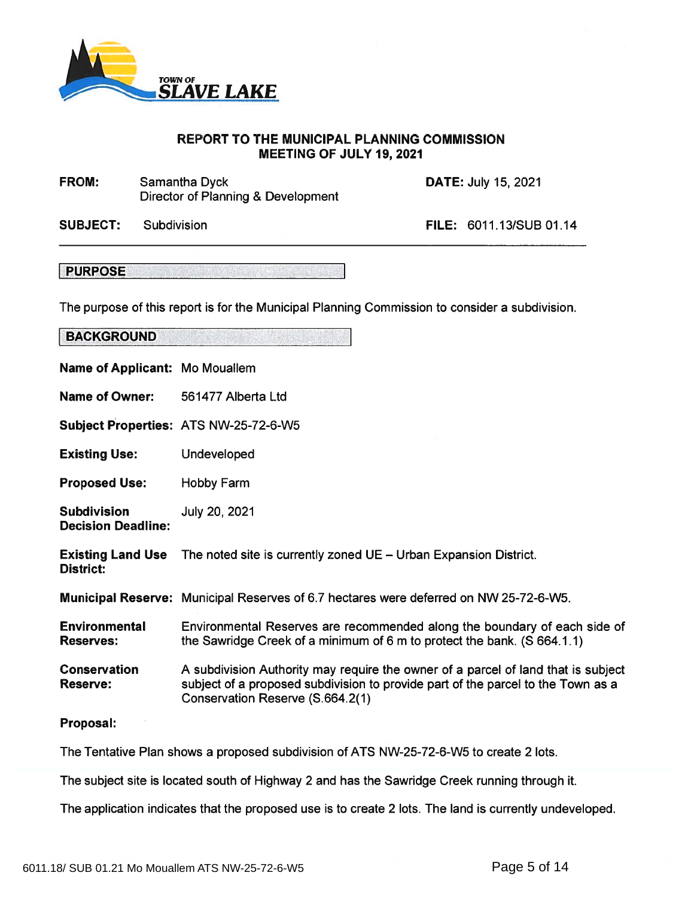

## REPORT TO THE MUNICIPAL PLANNING COMMISSION MEETING OF JULY 19, 2021

Samantha Dyck **DATE:** July 15, 2021 Director of Planning & Development FROM:

Subdivision SUBJECT:

FILE: 6011.13/SUB 01.14

PURPOSE

The purpose of this repor<sup>t</sup> is for the Municipal Planning Commission to consider <sup>a</sup> subdivision.

| Name of Applicant: Mo Mouallem                  |                                                                                                                                                                                                           |
|-------------------------------------------------|-----------------------------------------------------------------------------------------------------------------------------------------------------------------------------------------------------------|
| <b>Name of Owner:</b>                           | 561477 Alberta Ltd                                                                                                                                                                                        |
|                                                 | Subject Properties: ATS NW-25-72-6-W5                                                                                                                                                                     |
| <b>Existing Use:</b>                            | Undeveloped                                                                                                                                                                                               |
| <b>Proposed Use:</b>                            | Hobby Farm                                                                                                                                                                                                |
| <b>Subdivision</b><br><b>Decision Deadline:</b> | July 20, 2021                                                                                                                                                                                             |
| <b>District:</b>                                | <b>Existing Land Use</b> The noted site is currently zoned UE - Urban Expansion District.                                                                                                                 |
|                                                 | Municipal Reserve: Municipal Reserves of 6.7 hectares were deferred on NW 25-72-6-W5.                                                                                                                     |
| <b>Environmental</b><br><b>Reserves:</b>        | Environmental Reserves are recommended along the boundary of each side of<br>the Sawridge Creek of a minimum of 6 m to protect the bank. (S 664.1.1)                                                      |
| <b>Conservation</b><br><b>Reserve:</b>          | A subdivision Authority may require the owner of a parcel of land that is subject<br>subject of a proposed subdivision to provide part of the parcel to the Town as a<br>Conservation Reserve (S.664.2(1) |
| Proposal:                                       |                                                                                                                                                                                                           |
|                                                 | The Tentative Plan shows a proposed subdivision of ATS NW-25-72-6-W5 to create 2 lots.                                                                                                                    |

The subject site is located south of Highway 2 and has the Sawridge Creek running through it.

The application indicates that the proposed use is to create 2 lots. The land is currently undeveloped.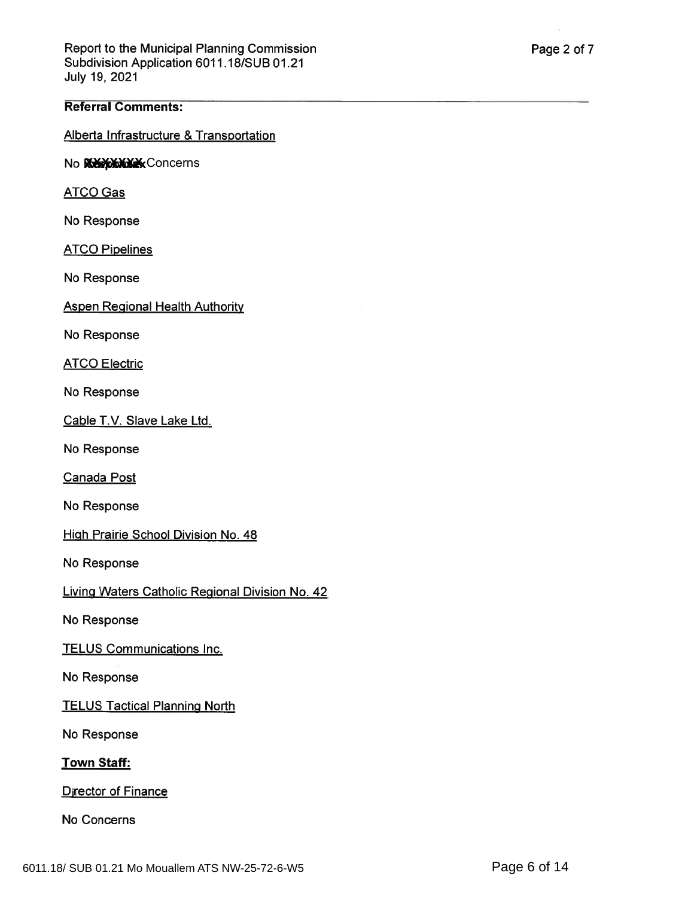### Referral Comments:

Alberta Infrastructure & Transportation

No **XXXXXXXX** Concerns

ATCO Gas

No Response

**ATCO Pipelines** 

No Response

Aspen Regional Health Authority

No Response

**ATCO Electric** 

No Response

Cable T.V. Slave Lake Ltd.

No Response

Canada Pos

No Response

High Prairie School Division No. 48

No Response

Living Waters Catholic Regional Division No. <sup>42</sup>

No Response

TELUS Communications Inc.

No Response

**TELUS Tactical Planning North** 

No Response

Town Staff:

**Director of Finance** 

No Concerns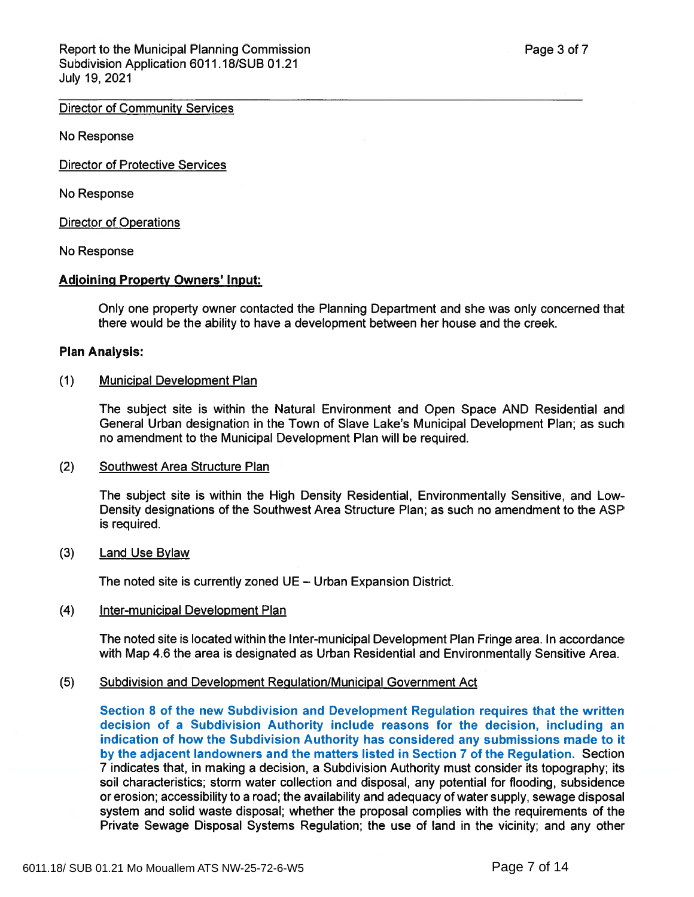## Director of Community Services

No Response

Director of Protective Services

No Response

Director of Operations

No Response

## Adioining Property Owners' Input:

Only one property owner contacted the Planning Department and she was only concerned that there would be the ability to have <sup>a</sup> development between her house and the creek.

#### Plan Analysis:

#### (1) Municipal Development Plan

The subject site is within the Natural Environment and Open Space AND Residential and General Urban designation in the Town of Slave Lake's Municipal Development Plan; as such no amendment to the Municipal Development Plan will be required.

(2) Southwest Area Structure Plan

The subject site is within the High Density Residential, Environmentally Sensitive, and Low-Density designations of the Southwest Area Structure Plan; as such no amendment to the ASP is required.

#### (3) Land Use Bylaw

The noted site is currently zoned UE — Urban Expansion District.

#### (4) Inter-municipal Development Plan

The noted site is located within the Inter-municipal Development Plan Fringe area. In accordance with Map 4.6 the area is designated as Urban Residential and Environmentally Sensitive Area.

#### (5) Subdivision and Development Regulation/Municipal Government Act

Section 8 of the new Subdivision and Development Regulation requires that the written decision of <sup>a</sup> Subdivision Authority include reasons for the decision, including an indication of how the Subdivision Authority has considered any submissions made to it by the adjacent landowners and the matters listed in Section 7 of the Regulation. Section <sup>7</sup> indicates that, in making <sup>a</sup> decision, <sup>a</sup> Subdivision Authority must consider its topography; its soil characteristics; storm water collection and disposal, any potential for flooding, subsidence or erosion; accessibility to <sup>a</sup> road; the availability and adequacy of water supply, sewage disposal system and solid waste disposal; whether the proposal complies with the requirements of the Private Sewage Disposal Systems Regulation; the use of land in the vicinity; and any other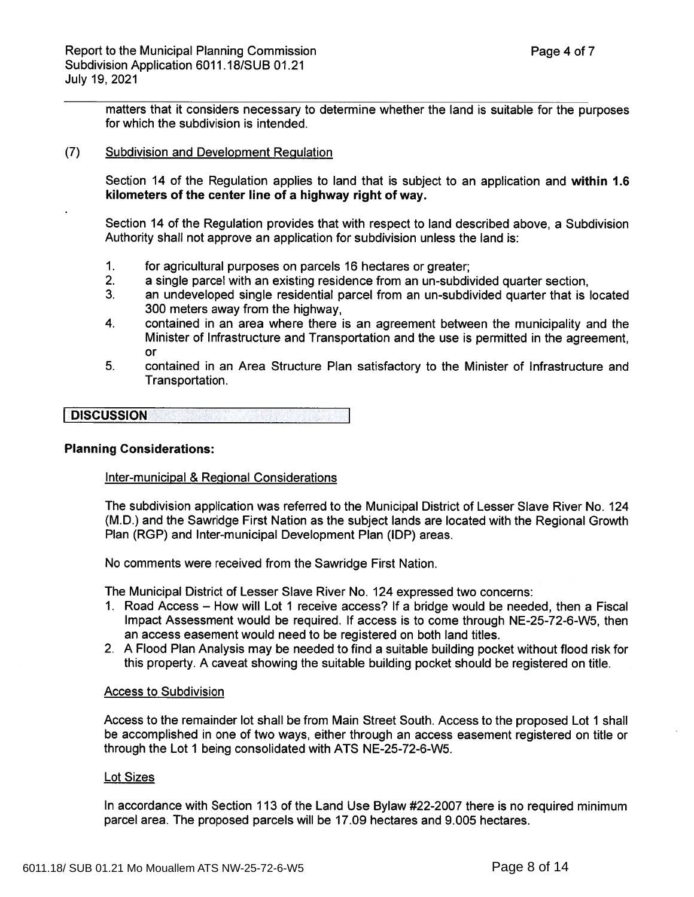matters that it considers necessary to determine whether the land is suitable for the purposes for which the subdivision is intended.

## (7) Subdivision and Development Regulation

Section 14 of the Regulation applies to land that is subject to an application and within 1.6 kilometers of the center line of a highway right of way.

Section 14 of the Regulation provides that with respec<sup>t</sup> to land described above, a Subdivision Authority shall not approve an application for subdivision unless the land is:

- 1.for agricultural purposes on parcels 16 hectares or greater;
- 2. aa single parcel with an existing residence from an un-subdivided quarter section,
- 3.<sup>}</sup>. an undeveloped single residential parcel from an un-subdivided quarter that is locatec 300 meters away from the highway,
- 4. contained in an area where there is an agreemen<sup>t</sup> between the municipality and the Minister of Infrastructure and Transportation and the use is permitted in the agreement, or
- 5.<sup>i.</sup> contained in an Area Structure Plan satisfactory to the Minister of Infrastructure and Transportation.

**DISCUSSION** N The contract of the contract of the contract of the contract of the contract of the contract of the contract of

#### Planning Considerations:

## Inter-municipal & Regional Considerations

The subdivision application was referred to the Municipal District of Lesser Slave River No. 124 (M.D.) and the Sawridge First Nation as the subject lands are located with the Regional Growth Plan (RGP) and Inter-municipal Development Plan (IDP) areas.

No comments were received from the Sawridge First Nation.

The Municipal District of Lesser Slave River No. 124 expressed two concerns:

- 1. Road Access How will Lot 1 receive access? If <sup>a</sup> bridge would be needed, then <sup>a</sup> Fiscal Impact Assessment would be required. If access is to come through NE-25-72-6-W5, then an access easement would need to be registered on both land titles.
- 2. A Flood Plan Analysis may be needed to find <sup>a</sup> suitable building pocket without flood risk for this property. A caveat showing the suitable building pocket should be registered on title.

#### Access to Subdivision

Access to the remainder lot shall be from Main Street South. Access to the proposed Lot 1 shall be accomplished in one of two ways, either through an access easement registered on title or through the Lot 1 being consolidated with ATS NE-25-72-6-W5.

#### Lot Sizes

In accordance with Section 113 of the Land Use Bylaw #22-2007 there is no required minimum parcel area. The proposed parcels will be 17.09 hectares and 9.005 hectares.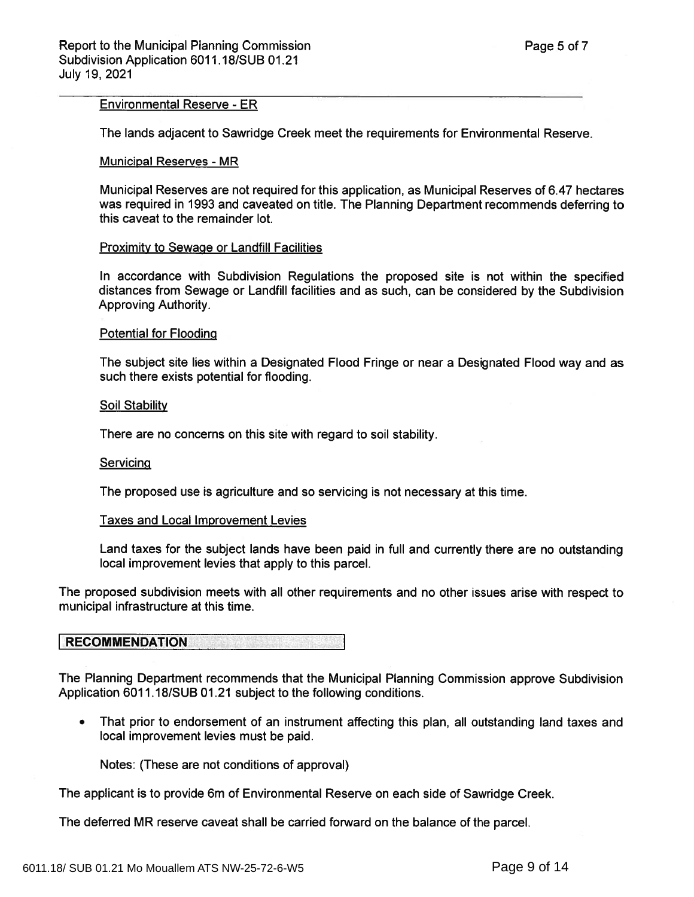#### Environmental Reserve -ER

The lands adjacent to Sawridge Creek meet the requirements for Environmental Reserve.

#### Municipal Reserves - MR

Municipal Reserves are not required for this application, as Municipal Reserves of 6.47 hectares was required in 1993 and caveated on title. The Planning Department recommends deferring to this caveat to the remainder lot.

#### Proximity to Sewage or Landfill Facilities

In accordance with Subdivision Regulations the proposed site is not within the specified distances from Sewage or Landfill facilities and as such, can be considered by the Subdivision Approving Authority.

#### Potential for Flooding

The subject site lies within <sup>a</sup> Designated Flood Fringe or near <sup>a</sup> Designated Flood way and as such there exists potential for flooding.

#### Soil Stability

There are no concerns on this site with regard to soil stability.

#### **Servicing**

The proposed use is agriculture and so servicing is not necessary at this time.

#### Taxes and Local Improvement Levies

Land taxes for the subject lands have been paid in full and currently there are no outstanding local improvement levies that apply to this parcel.

The proposed subdivision meets with all other requirements and no other issues arise with respec<sup>t</sup> to municipal infrastructure at this time.

#### RECOMMENDATION

The Planning Department recommends that the Municipal Planning Commission approve Subdivision Application 6011.18/SUB 01.21 subject to the following conditions.

• That prior to endorsement of an instrument affecting this plan, all outstanding land taxes and local improvement levies must be paid.

Notes: (These are not conditions of approval)

The applicant is to provide 6m of Environmental Reserve on each side of Sawridge Creek.

The deferred MR reserve caveat shall be carried forward on the balance of the parcel.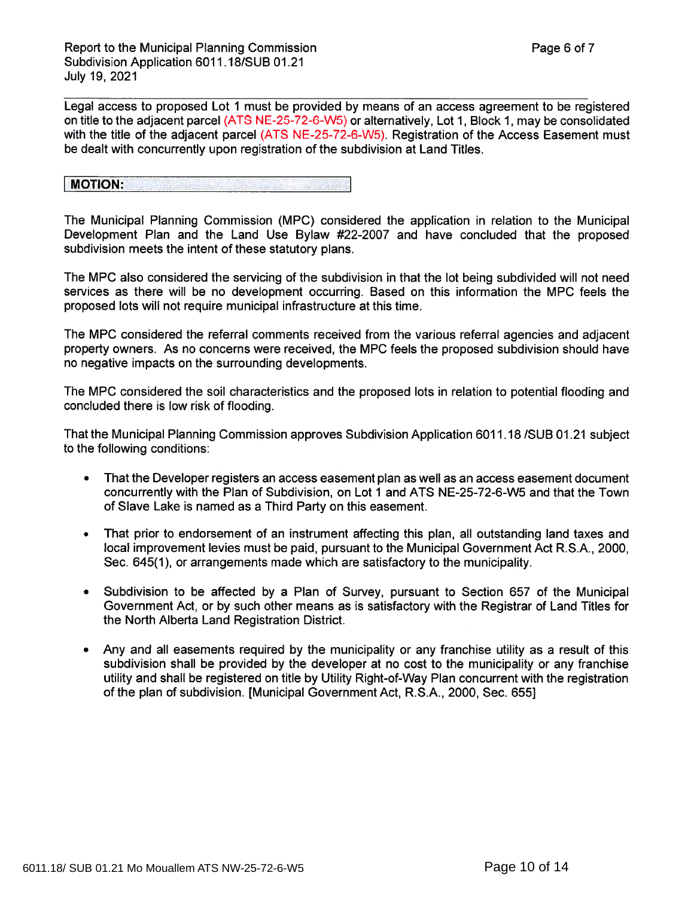Legal access to proposed Lot 1 must be provided by means of an access agreemen<sup>t</sup> to be registered on title to the adjacent parcel (ATS NE-25-72-6-W5) or alternatively, Lot 1, Block 1, may be consolidated with the title of the adjacent parcel (ATS NE-25-72-6-W5). Registration of the Access Easement must be dealt with concurrently upon registration of the subdivision at Land Titles.

MOTION:II

The Municipal Planning Commission (MPC) considered the application in relation to the Municipal Development Plan and the Land Use Bylaw #22-2007 and have concluded that the proposed subdivision meets the intent of these statutory plans.

The MPC also considered the servicing of the subdivision in that the lot being subdivided will not need services as there will be no development occurring. Based on this information the MPC feels the proposed lots will not require municipal infrastructure at this time.

The MPC considered the referral comments received from the various referral agencies and adjacent property owners. As no concerns were received, the MPC feels the proposed subdivision should have no negative impacts on the surrounding developments.

The MPC considered the soil characteristics and the proposed lots in relation to potential flooding and concluded there is low risk of flooding.

That the Municipal Planning Commission approves Subdivision Application 6011 .18 /SUB 01.21 subject to the following conditions:

- •• That the Developer registers an access easement plan as well as an access easement document concurrently with the Plan of Subdivision, on Lot 1 and ATS NE-25-72-6-W5 and that the Town of Slave Lake is named as a Third Party on this easement.
- • That prior to endorsement of an instrument affecting this plan, all outstanding land taxes and local improvement levies must be paid, pursuan<sup>t</sup> to the Municipal Government Act R.S.A., 2000, Sec. 645(1), or arrangements made which are satisfactory to the municipality.
- •• Subdivision to be affected by a Plan of Survey, pursuant to Section 657 of the Municipa Government Act, or by such other means as is satisfactory with the Registrar of Land Titles for the North Alberta Land Registration District.
- • Any and all easements required by the municipality or any franchise utility as <sup>a</sup> result of this subdivision shall be provided by the developer at no cost to the municipality or any franchise utility and shall be registered on title by Utility Right-of-Way Plan concurrent with the registration of the plan of subdivision. [Municipal Government Act, R.S.A., 2000, Sec. 655]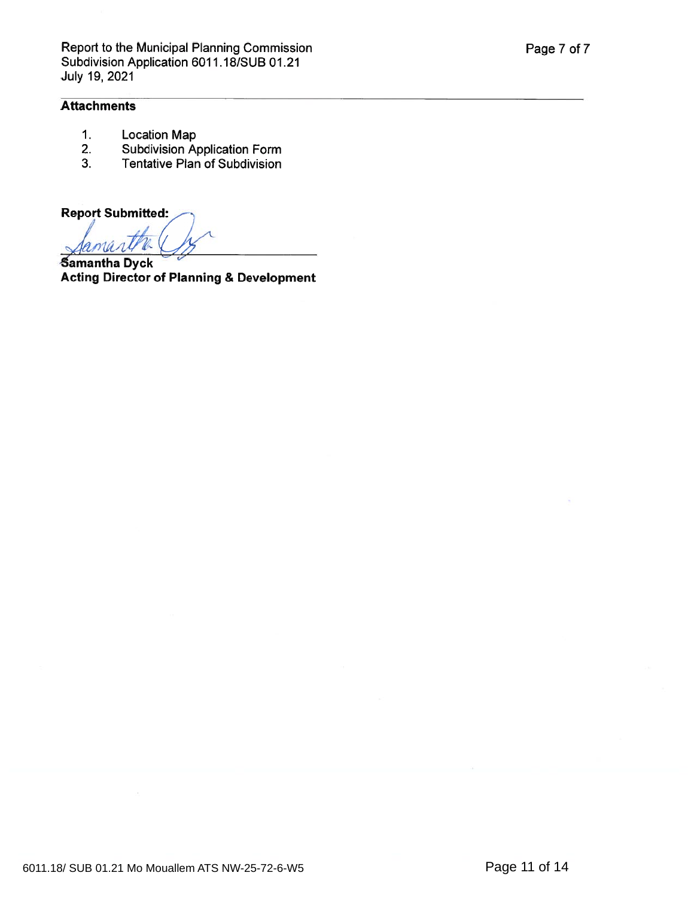## **Attachments**

- 1. Location Map
- 2. Subdivision Application Form
- 3. Tentative Plan of Subdivision

**Report Submitted:** 

**Samantha Dyck** Acting Director of Planning & Development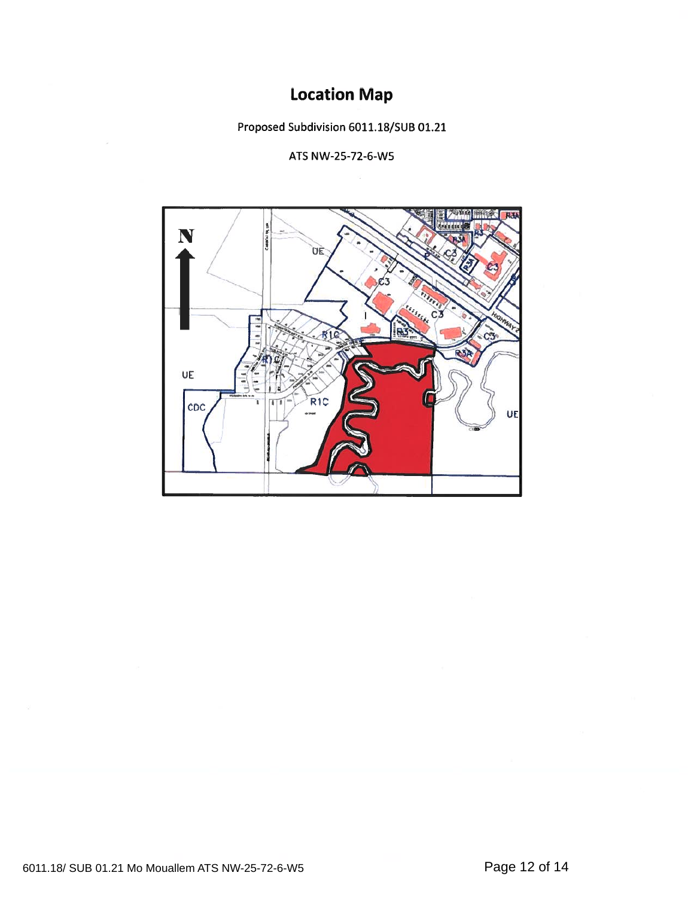# Location Map

Proposed Subdivision 6011.18/SUB 01.21

ATS NW-25-72-6-W5

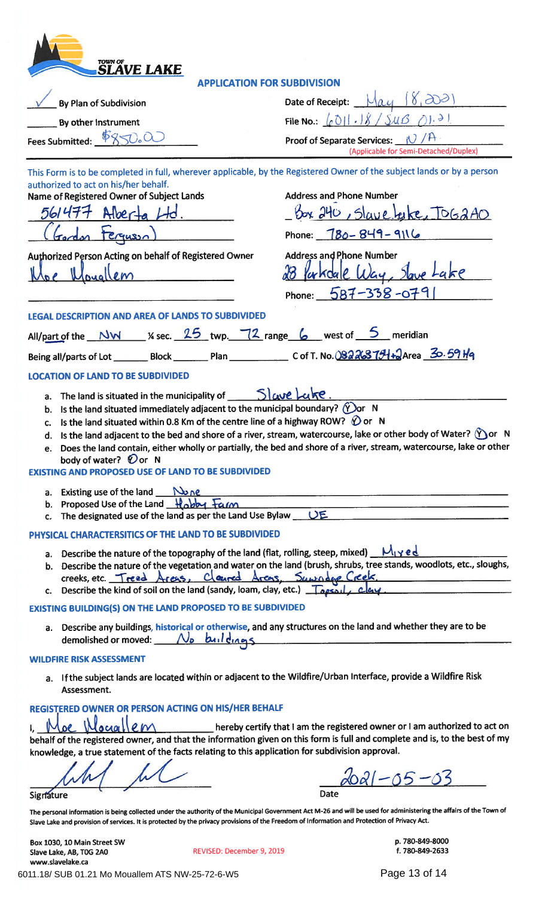| <b>TOWN OF</b><br>SLAVE LAKE                                                                                                                                                                                                                                                                                       |                                                                                                                                                                                                                                                  |
|--------------------------------------------------------------------------------------------------------------------------------------------------------------------------------------------------------------------------------------------------------------------------------------------------------------------|--------------------------------------------------------------------------------------------------------------------------------------------------------------------------------------------------------------------------------------------------|
| <b>APPLICATION FOR SUBDIVISION</b>                                                                                                                                                                                                                                                                                 |                                                                                                                                                                                                                                                  |
| By Plan of Subdivision                                                                                                                                                                                                                                                                                             | Date of Receipt:                                                                                                                                                                                                                                 |
| By other instrument                                                                                                                                                                                                                                                                                                | File No.: $\lfloor \rho \sqrt[3]{1} \rfloor$ . $\rfloor$ $\frac{1}{3}$ / $\sqrt[5]{10}$                                                                                                                                                          |
| Fees Submitted: \$850.00                                                                                                                                                                                                                                                                                           | <b>Proof of Separate Services:</b><br>(Applicable for Semi-Detached/Duplex)                                                                                                                                                                      |
| This Form is to be completed in full, wherever applicable, by the Registered Owner of the subject lands or by a person                                                                                                                                                                                             |                                                                                                                                                                                                                                                  |
| authorized to act on his/her behalf.<br>Name of Registered Owner of Subject Lands                                                                                                                                                                                                                                  | <b>Address and Phone Number</b>                                                                                                                                                                                                                  |
| 561477<br>Alber-                                                                                                                                                                                                                                                                                                   | box 240, Slave take, TOG2AO                                                                                                                                                                                                                      |
|                                                                                                                                                                                                                                                                                                                    | Phone: $780 - 849 - 9116$                                                                                                                                                                                                                        |
| Authorized Person Acting on behalf of Registered Owner                                                                                                                                                                                                                                                             | <b>Address and Phone Number</b>                                                                                                                                                                                                                  |
|                                                                                                                                                                                                                                                                                                                    | <i>Ku</i> Kdale                                                                                                                                                                                                                                  |
|                                                                                                                                                                                                                                                                                                                    |                                                                                                                                                                                                                                                  |
|                                                                                                                                                                                                                                                                                                                    | Phone: $587 - 338 - 079$                                                                                                                                                                                                                         |
| <b>LEGAL DESCRIPTION AND AREA OF LANDS TO SUBDIVIDED</b>                                                                                                                                                                                                                                                           |                                                                                                                                                                                                                                                  |
| All/part of the $\frac{NW}{2}$ % sec. $\frac{25}{2}$ twp. $\frac{72}{2}$ range $\frac{6}{2}$ west of $\frac{5}{2}$ meridian                                                                                                                                                                                        |                                                                                                                                                                                                                                                  |
|                                                                                                                                                                                                                                                                                                                    |                                                                                                                                                                                                                                                  |
| <b>LOCATION OF LAND TO BE SUBDIVIDED</b>                                                                                                                                                                                                                                                                           |                                                                                                                                                                                                                                                  |
| The land is situated in the municipality of $S $ ave Luke.<br>а.                                                                                                                                                                                                                                                   |                                                                                                                                                                                                                                                  |
| Is the land situated immediately adjacent to the municipal boundary? $\langle$ Oor N<br>b.                                                                                                                                                                                                                         |                                                                                                                                                                                                                                                  |
| Is the land situated within 0.8 Km of the centre line of a highway ROW? $\bigcirc$ or N<br>C.                                                                                                                                                                                                                      |                                                                                                                                                                                                                                                  |
| d.<br>е.                                                                                                                                                                                                                                                                                                           | Is the land adjacent to the bed and shore of a river, stream, watercourse, lake or other body of Water? ( $\gamma$ ) or N<br>Does the land contain, either wholly or partially, the bed and shore of a river, stream, watercourse, lake or other |
| body of water? $\mathcal{D}$ or N                                                                                                                                                                                                                                                                                  |                                                                                                                                                                                                                                                  |
| <b>EXISTING AND PROPOSED USE OF LAND TO BE SUBDIVIDED</b>                                                                                                                                                                                                                                                          |                                                                                                                                                                                                                                                  |
| a. Existing use of the land $\mathbb{N}_{\Omega}$                                                                                                                                                                                                                                                                  |                                                                                                                                                                                                                                                  |
| b. Proposed Use of the Land Hobby Farm                                                                                                                                                                                                                                                                             |                                                                                                                                                                                                                                                  |
| The designated use of the land as per the Land Use Bylaw $\underline{\hspace{1cm}}\bigcup \underline{\hspace{1cm}}$<br>c.                                                                                                                                                                                          |                                                                                                                                                                                                                                                  |
| PHYSICAL CHARACTERSITICS OF THE LAND TO BE SUBDIVIDED                                                                                                                                                                                                                                                              |                                                                                                                                                                                                                                                  |
| a. Describe the nature of the topography of the land (flat, rolling, steep, mixed) $M_1 \times e \cdot d$                                                                                                                                                                                                          | b. Describe the nature of the vegetation and water on the land (brush, shrubs, tree stands, woodlots, etc., sloughs,                                                                                                                             |
| creeks, etc. Treed Areas, Claured Areas, Suwnage Creek.                                                                                                                                                                                                                                                            |                                                                                                                                                                                                                                                  |
| Describe the kind of soil on the land (sandy, loam, clay, etc.) $\sqrt{2}$                                                                                                                                                                                                                                         |                                                                                                                                                                                                                                                  |
| EXISTING BUILDING(S) ON THE LAND PROPOSED TO BE SUBDIVIDED                                                                                                                                                                                                                                                         |                                                                                                                                                                                                                                                  |
| a. Describe any buildings, historical or otherwise, and any structures on the land and whether they are to be<br>demolished or moved: No buildings                                                                                                                                                                 |                                                                                                                                                                                                                                                  |
| <b>WILDFIRE RISK ASSESSMENT</b>                                                                                                                                                                                                                                                                                    |                                                                                                                                                                                                                                                  |
| a. If the subject lands are located within or adjacent to the Wildfire/Urban Interface, provide a Wildfire Risk<br>Assessment.                                                                                                                                                                                     |                                                                                                                                                                                                                                                  |
| REGISTERED OWNER OR PERSON ACTING ON HIS/HER BEHALF                                                                                                                                                                                                                                                                |                                                                                                                                                                                                                                                  |
| Loe IN<br>lociallem<br>behalf of the registered owner, and that the information given on this form is full and complete and is, to the best of my                                                                                                                                                                  | hereby certify that I am the registered owner or I am authorized to act on                                                                                                                                                                       |
| knowledge, a true statement of the facts relating to this application for subdivision approval.                                                                                                                                                                                                                    |                                                                                                                                                                                                                                                  |
|                                                                                                                                                                                                                                                                                                                    |                                                                                                                                                                                                                                                  |
|                                                                                                                                                                                                                                                                                                                    |                                                                                                                                                                                                                                                  |
| Signature                                                                                                                                                                                                                                                                                                          | Date                                                                                                                                                                                                                                             |
| The personal information is being collected under the authority of the Municipal Government Act M-26 and will be used for administering the affairs of the Town of<br>Slave Lake and provision of services. It is protected by the privacy provisions of the Freedom of Information and Protection of Privacy Act. |                                                                                                                                                                                                                                                  |

Box 1030, 10 Main Street SW p. 780-849-8000

Slave Lake, AB, TOG 2A0 **f.** 780-849-2633 www.slavelake.ca REVISED: December 9, 2019 6011.18/ SUB 01.21 Mo Mouallem ATS NW-25-72-6-W5 Page 13 of 14